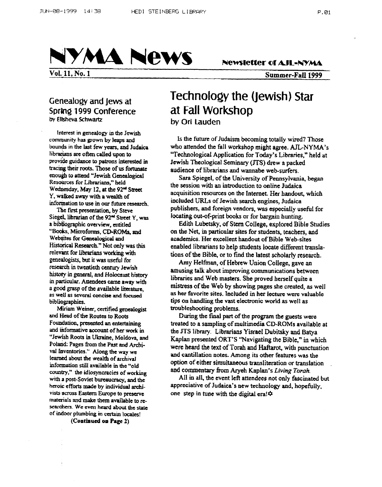

**Vol. 11, No. 1 Summer-Fan** *1999* 

# **Geneafogy and Jews at Sprbg 1999 Conference by Elisheva Schwartz**

**lnterest in genealogy III the Jewish community has grown by leaps and bounds** in the last few years, and Judaica **librarians an often ded upon to tracing their** rods. **Those of us** fommate enough **to attend ''Jewish** *Genealogical*  **Resources for Librarians," held Wedaesday,** *May* **12,** *at* **the** *92"' Sucu*  **Y, waiked away with a wealth of information to use in OUT** future **research.**  proviik **y1danCc to patrons** idertstod **in** 

**The first presentation, by Steve Siegel, librarian of the** *92" Street Y,* was **a bibtiographic ovaview, entitled "Books, Microforms, CD-ROMs,** *md*  **Web@= for** *Gsnealogical* **and**  Historical Research." **Not only was** this relevant for librarians working with geneaiogists, **but it was usdul** for research **in twentieth** *ca~nny* **Jewish**  history in general, and Holocaust history **in particular. Attendees** *came* **away** with **a good grasp of the available** lituatwc. **as well** *8s stycfal concise* **and focused bibliogtaphies.** 

**and Head of the Routes** *to* **Roots**  Foundation, presented an entertaining **and ihformative** *account* **of ha work in "Jewish Roots in Ukraine, Moldova, and**  Poland: Pages from the Past and Archival Inventories." Along the way we learned **about** the wealth **of drchrval**  information still **available in the "old country," the idiosyncracies of working**  wth **a** *post-Soviet* **bureaucracy, and the heroic efforts** *made* **by individual archi** $v$  ists across Eastern Europe to preserve **materials and make them available to remdierx We even heard about the** *state*  **of** indoor **plumbing** in *CeFtaln* **locales! MLiam Wema, certified** *genedogist* 

**(Continued on Page 2)** 

# **Technology the (Jewish) Star at Fall Workshop by Ori Lauden**

**Is** *the* **future of Judaism becoming totally wired? Those who attended the fall workshop might agree. AIL-NYMA's**  "Technological **Application for Today's Libraries," he!d at Jewish Theological Scminary (J'TS) drew a packed**  audience of librarians and wannabe web-surfers.

*Sara* **Spiegcl, of the University of Peonsylvania, began the session** with **an introduction to online Judaica acquisition resources on the Internet. Her handout, which iocluded URLs of Jewish search engines, Judaica publishers, and foreign vendors,** was **especially useful for locating out-of-print books or for bargain hunting.** 

**on the Net, in particular sites for students, teachers, and academics. Her excellent handout of Bible Web-sites enabled librarians to help students locate different translations of the Bible, or to find the latest scholarly research. Edith Lubetsky, of Stem College, explored Bible Studies** 

**Amy Helfinan, of Hebrew Union College, gave an musing talk about improving communications between libraries and Web masters. She proved herself quite a mistress of the Web by showing pages she created, as well as her favorite sites. lncluded in her lecture were valuable tips on handling the** vast **electronic world as well as troubleshooting problems.** 

**During the final part of the program the guests were**  treated **to a sampling of multimedia CD-ROMs available at the JTS library. Librarians Yisrael Dubitsky and Batya Kaplan presented ORT'S '%Navigating the Bible," in which were heard the** text **of** Torah **and** HaRarot, with **punctuation and cantillation notes. Among** its **other** *features* **was the option** *of* **either simultaneous transliteration or translation** . **and commentary** hm **Aryeh Kaplan's** *Living Torah* 

**All in all, the event Icft attendees not only fascinated but appreciative of Judaica's new technology and, hopefully, one step in tune with the digital era!\***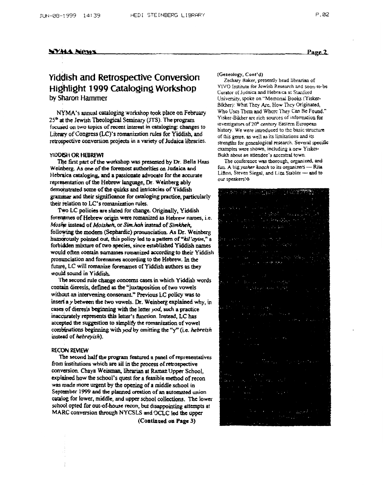### **SYMA News**

# **viddish and Retrospective Conversion Highlight 1999 Cataloging Workshop by Sharon Hammer**

NYMA's annual cataloging workshop took place on February 25<sup>th</sup> at the Jewish Theological Seminary (JTS). The program **focused on two topics of recent** interest in **cataloging: changes to**  Library of Congress (LC)'s romanization rules for Yiddish, and **retrospective conversion projects in a variety of Judaica** libraries.

### **WDOBH OR HEBREW?**

**Weinbesg. As** *one* **of the foremost authorities** *on* **Judaica and Hcbraica** *catalogiqg,* **and a passionate advocate for the accurate**   $r$ epresentation of the Hebrew language, Dr. Weinberg ably **demonstrated some of the quirks and intricacies of Yiddish**  *grammar* **amd** their *significance* **for cataloging practice, particularly their** relation *to* **LC's** romanizdtion rules. *Tly* **fkst part of the wockshop** was **presented by Dr Bella** Haas

**Two LC policies are slated for change. Originally, Yiddish**  forenames of **Hebrew origin were romanized as Hebrew names, i.e.** *Moshe instead of Moisheh, or Sim.hah instead of Simkheh,* **folloqvins the modan (scphardic) pronunciation.** *A4* **Dr. Weinberg**  humorously pointed out, this policy led to a pattern of "kil'avim," a **forbidden miMut of two species, since established Yiddish** names **would often contain surnama romanized according** *to* **their Yiddish**  pronunciation and foreraines according to the Hebrew. In the future, LC will romanize forenames of Yiddish authors as they **would sound in Yiddish.** 

**contain dieresis, defined as the "juxtaposition of** *two* **vowels**  without **an** intervening **conscmant-" Previous LC policy w8s to ins& a** *y* between *the two* **vowels. Dr. Weinberg** explained **why, in**  *cases* **of dieresis** bcpnhg **with the lerter** ya4 **such a practice inacwately represents** this **letter's** *fimctjon.* **Instead, LC has accepted the** *suggestion to simpIify the* **romanidon of vowel**  combinations beginning with *yod* by omitting the "y" (i.e. *hebreish* **lnstead of** *hebreyish).*  The **second rule change wncuns** *cases* **in which Yiddish words** 

### **RECON REVIEW**

**from institutions which are 1II in the process of retrospective**  conversion. Chaya Weisman, librarian at Ramaz Upper School, **explained how the school's quest for a feasible method of recon was made more urgent by the opening of** *a* **middle ~ch001 in**  September 1999 and the planned creation of an automated union *catalq* **for Iowa, middle, and** upper **school coll40~. The lower**  school opted for out-of-house recon, but disappointing attempts at **MARC conversion** through **NYCSLS and OCLC led** the **upper Tbc second half the program featurrd a panel of representatives** 

**(Continued on Page 3)** 

### *(Ceneology,* **Cont'd)**

YIVO **Idstitutc for Jcwish Research and soon-to-bc**  Curator of Judaica and Hebraica at Stanford University, **spoke on** "Memonal Books **(Yisker-**Bikher): **what They** *Arc.* How Thcy **Origimed,**  Who Uscs Thcm **and** Whcrc lhey *Can* **Re Found." Yiskcr-Bikhcr arc** rich **sources of** infomaion **for invcstigaton** of ZO\* century **~tmn Europcan**  history. We **were introduced** to thc basic structure of this gme. **as** wcll *89* **its** limitations **and ifs strengths** for gcnealogicd research. **Severd** specific **cxanples** were **shown, including a acw** *Y* **iskcr-**Bukh about an attendee's ancestral town. *Zachary* **Baker. presently hcad** librarian **of** 

*The* **confcrcncc** was **thorough.** *organized* **and frm. A big** *yasher Roach* **to** its **organizers** - Rita Lifton, **Steven Siegal, and** t.im **Stabler -and to**  our speakers! $\phi$ 

# SIM SHERMAN **SECOND PRO**

Page 2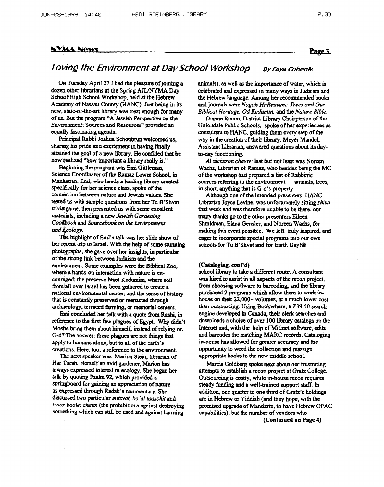### **NYMA News**

### **Page 3**

# *Loving the Environment at Day School Workshop By Faya Cohenes*

*OR* **Tuesday April 27 I** *had* **thc plesswe ofjoiuing a dozen other himrians** *at* **tho Spring** AJUNYMA **Day SchooUHigh School Workshop, held** *at* **the Hebrew Acackmy** *of* **Nassau** County **(HANC). Just being in** its **new, state-of-theart library** was treat **enough for many of us. But the program "A Jewish** Perspective **on the**  Environment: Sources and Resources" provided an *equally* **fascinating** *agenda* 

Principal Rabbi Joshua Schonbrun welcomed us,  $\frac{1}{2}$  sharing his pride and excitement in having finally attained *the* **goal of a new bhary. He confided that he now dl;ed "how important a** liirary **really is."** 

Beginning the program was Emi Gittleman, Science Coordinator of the Ramaz Lower School, in Manhattan. Emi, who heads a lending library created *specifically* **far hcr science class, spoke of the**  connection between **nature and Jewish values. She tested us** with **sample questions liam her Tu B'Shvat trivia game,** then **presented us** with **some excallmt materials, mcluding a** new **Jewish** *Gonlucing Coukbook* **and** *Sourcebook* **on** *the Environment*  and *Ecology*.

**de highlight of Emj's talk was her slide show of her rcctnt trip** *to* **hcl. With the help of some** *sauyring*  **photasraphs, she gave over her insights, in particular of the strong** link between **Judaism and the mvironmmt. Some examples were the Biblical Zoo,**  where a hands-on interaction with nature is en $c$ ouraged; the preserve Naot Kedumim, where soil from **all ovcrlmel** has **been** *gathend* **to** create **a national environrdmtaI** *cem.* **and the sense of** history **that is constantly preserved or reenacted through** archaeology, terraced farming, or memorial centers.

**Erai concluded her bk** with **a quote** from **Rashi, in refer& to the** first **few plagues of Egypt. Why didn't Moshe bring** them **about himself,** *instead* **of relying** *on*  **G-d?Thc** answer: these **plagues arc not** things **hat apply to humans alone, but to all of the earth's**  *headons.* **Here, too,** *5* **reference to** the *environment.* 

The next speaker was Marion Stein, librarian of **Har Tomb. Herself an avid** *gardener,* **Marion bas always expressed intaest m ecology. She** begau **her**  *talk* **by quoting Psalm** *92,* **which provided a wrmgboard for** *gaining* **an appreciation of nature as expressed thrwgh Radak's c~mmartary. She discussed two** particular *mimot, ba'al tmchit* **and**  tzw **baalei** *clrorm* **(the prohibitions against** destroying something which can still be used and against harming

**animal.s),** *8s* **well as the** hprtanct **of water, which is celebrated and expressed in many ways in Judaism and the Hebrew language.** *Amoag* her **recommended books and joumals were** *Nogah HaRarveni; Trea and Our Biblical Hwitage. Od Kedwnin,* **and** the *Nature Bible.* 

**Dianne Romm,** District **Library Chairperson of** *the*  **Uniondale Public Schools, spoke of her experiences as consultant to HANC, guiding** them **every step of** the way in the creation of their library. Meyer Mandel, **Assistant Librarian,** *answered* **questions about its day**to-day functioning.

*AI alcharon chavir:* last **but not least** was **Noreen Wpchs, Libmian of** Ramaz, **who besides being the MC of the wwkshop had pnpared a List of Rabbinic sowcs** rcfkrrhg **to the environment** - **wrmals, trees;**  in short, anything that is G-d's property.

**Although one of the intended presenters, HANC Librarian Joyce Levme., was unfortunately** *sitting shiva*  that **week and was therefort unable to be** there. **our many** thanks **go to the other presenters Eileen**  Shmidman, Elana Gensler, and Noreen Wachs, for *making* **this went possible. We left truly** *inspiirtd,* **and schools for Tu B'Shvat and for Earth Day!\***  eager **to** incorporate **special programs into our own** 

### **(Cataloging, cont'd)**

**school** library **to take a** different **route. A consultant**  was hired to assist in all aspects of the recon project, **from choosing software** *to* barcoding, **and the Liraty**  purchased 2 programs which allow them to work in**house on their 22,000+ volumes,** *at* **a much lower cost than outsourcing. Using Bookwhere, a** *239.50* **search engine developed in Canada, their desk searches and downloads a choice of over 100** liirary **catalogs** *on* **the**  Lntemet **and,** with **the help of** Mitinet **software, edits and** barcodes **the matdung MARC** records. **cataloging in-house has allowed €or** *greater* **accuracy and the opportunity to** weed **the colltction and reassign appropriate books to the new middle schooL** 

**Marcia Goldbag spoke next about her fiwtniting attempts** *to* **establish a rec~n project at Gratz College.**  Outsourcing is costly, while in-house recon requires *steady* **funding and a well-trained support staff. In addition, one quarta** *to* **one** third **of Gratz's holdings**  *are in* **Hebrew or Yiddish (and they hope, with the promised upgrade of Mandarin, to have Hebrew OPAC capabilities); but the** number **of vendors who** 

**(Continued on Page** *4)*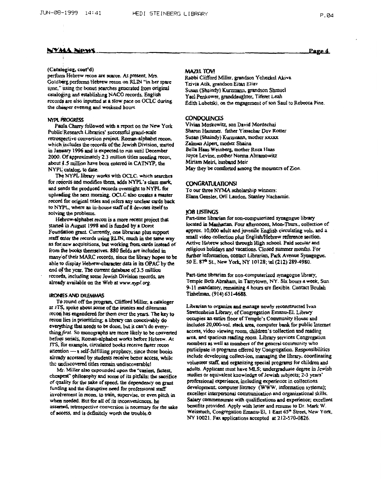### (Cataloging, cont'd)

perform Hebrew recon are scarce. At present, Mrs. Goldberg performs Hebrew recon on RLIN "in her spare time," using the bonus searches generated from original cataloging and establishing NACO records. English records are also inputted at a slow pace on OCLC during the cheaper evening and weekend hours.

### NYPL PROGRESS

Paula Charry followed with a report on the New York Public Research Libraries' successful grand-scale retrospective conversion project. Roman-alphabet recon. which includes the records of the Jewish Division, started in January 1996 and is expected to run until December 2000. Of approximately 2.3 million titles needing recon, about 1.5 million have been entered in CATNYP, the NYPL catalog, to date.

The NYPL library works with OCLC, which searches for records and modifies them, adds NYPL's class mark, and sends the produced records overnight to NYPL for uploading the next morning. OCLC also creates a master record for original titles and refers any unclear cards back to NYPL, where an in-house staff of 8 devotes itself to solving the problems.

Hebrew-alphabet recon is a more recent project that started in August 1998 and is funded by a Dorot Foundation grant. Currently, one librarian plus support staff enter the records using RLIN, much in the same way as for new acquisitions, but working from cards instead of from the books themselves. 880 fields are included in many of their MARC records, since the library hopes to be able to display Hebrew-character data in its OPAC by the end of the year. The current database of 3.5 million records, including some Jewish Division records, are already available on the Web at www.nypl.org.

### **IRONIES AND DILEMMAS**

To round off the program, Clifford Miller, a cataloger at JTS, spoke about some of the ironies and dilemmas recon has engendered for them over the years. The key to recon lies in prioritizing: a library can conceivably do everything that needs to be done, but it can't do everything first. So monographs are more likely to be converted before serials, Roman-alphabet works before Hebrew. At JTS, for example, circulated books receive faster recon attention - a self-fulfilling prophecy, since those books aiready accessed by students receive better access, while the undiscovered titles remain undiscoverable!

Mr. Miller also expounded upon the "casiest, fastest, chcapest" philosophy and some of its pitfalls: the sacrifice of quality for the sake of speed, the dependency on grant funding and the disruptive need for professional staff involvement in recon, to train, supervise, or even pitch in when needed. But for all of its inconveniences, he asserted, retrospective conversion is necessary for the sake of access, and is definitely worth the trouble.  $\phi$ 

### **MAZEL TOV!**

Rabbi Clifford Miller, grandson Yehezkel Akiva Tzivia Atik, grandson Eitan Eliav Susan (Shaindy) Kurzmann, grandson Shmucl Yacl Penkower, granddaughter, Tiferet Leah Edith Lubetski, on the engagement of son Saul to Rebecca Pine.

### **CONDOLENCES**

Vivian Moskowitz, son David Mordechai Sharon Hammer, father Yissachar Dov Rotter Susan (Shaindy) Kurzmann, mother xxxxx Zalman Alpert, mother Shaina Bella Haas Weinberg, mother Roza Haas Joyce Levine, mother Norma Abramowitz Miriam Meiri, husband Meir May they be comforted among the mourners of Zion.

### **CONGRATULATIONSI**

To our three NYMA scholarship winners: Elana Gensler, Orli Laudon, Stanley Nachamie.

### **IOB LISTINGS**

Part-time librarian for non-computerized synagogue library located in Manhattan. Four afternoons, Mon-Thurs., collection of approx. 10,000 adult and juvenile English circulating vols. and a small video collection plus English/Hebrew reference section. Active Hebrew school through High school. Paid secular and religious holidays and vacations. Closed summer months. For further information, contact Librarian, Park Avenue Synagogue, 50 E. 87<sup>th</sup> St., New York, NY 10128; tel (212) 289-4980.

Part-time librarian for non-computerized synagogue library, Temple Beth Abraham, in Tarrytown, NY. Six hours a week, Sun. 9-11 mandatory, remaining 4 hours are flexible. Contact Beulah Tishelman, (914) 631-4688.

Librarian to organize and manage newly reconstructed Ivan Strettcnheim Library, of Congregation Emanu-El. Library occupies an entire floor of Temple's Community House and includes 20,000-vol. stack area, computer bank for public Internet access, video viewing room, children's collection and reading area, and spacious reading room. Library services Congregation members as well as members of the general community who participate in programs offered by Congregation. Responsibilities include developing collect-ion, managing the library, coordinating volunteer staff, and organizing special programs for children and adults. Applicant must have MLS; undergraduate degree in Jewish studies or equivalent knowledge of Jewish subjects; 2-3 years' professional experience, including experience in collections development; computer literacy (WWW, information systems); excellent interpersonal communication and organizational skills. Salary commensurate with qualifications and experience; excellent benefits provided. Apply with letter and resume to Dr. Mark W. Weisstuch, Congregation Emanu-El, 1 East 65<sup>th</sup> Street, New York, NY 10021. Fax applications accepted at 212-570-0826.

Page 4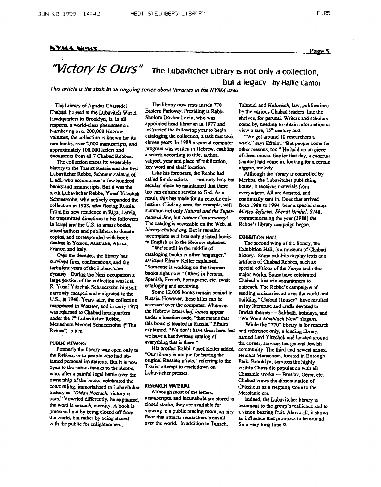### **NYMA News**

## "Victory is Ours" The Lubavitcher Library is not only a collection. but a legacy by Hallie Cantor

This article is the sixth in an ongoing series about libraries in the NYMA area.

The Library of Agudas Chassidei Chabed, housed at the Lubavitch World Headquarters in Brooklyn, is, in all respects, a world-class phenomenon. Numbering over 200,000 Hebrew volumes, the collection is known for its rare books, over 2,000 manuscripts, and approximately 100,000 letters and documents from all 7 Chabad Rebbes.

The collection traces its venerable history to the Tzarist Russia and the first Lubawitcher Rebbe, Schneur Zalman of Liadi, who accumulated a few hundred books and manuscripts. But it was the sixth Lubavitcher Rebbe. Yosef Yitzchak Schneersohn, who actively expanded the collection in 1928, after fleeing Russia. From his new residence in Riga, Latvia, he transmitted directives to his followers in Israel and the U.S. to amass books, asked authors and publishers to donate copies, and corresponded with book dealers in Yemen, Australia, Africa, France, and Italy.

Over the decades, the library has survived fires, confiscations, and the turbulent years of the Lubavitcher dynasty. During the Nazi occupation a large portion of the collection was lost. R. Yosef Yitzchak Schneersohn himself narrowly escaped and emigrated to the U.S., in 1940. Years later, the collection reappeared in Warsaw, and in carly 1978 was returned to Chabad headquarters under the 7<sup>th</sup> Lubavitcher Rebbe. Menachem Mendel Schneerschn ("The Rebbe"), o.b.m.

### **PUBLIC VIEWING**

Formerly the library was open only to the Rebbes, or to people who had obtained personal invitations. But it is now open to the public thanks to the Rebbe, who, after a painful legal battle over the ownership of the books, celebrated the court ruling, immortalized in Lubavitcher history as "Didan Notzach, victory is ours." Voweled differently, he explained, the word is netzach, eternity. A book is preserved not by being closed off from the world, but rather by being shared with the public for enlightenment.

The library now rests inside 770 Eastern Parkway. Presiding is Rabbi Sholom Dovber Levin, who was appointed head librarian in 1977 and instructed the following year to begin cataloging the collection, a task that took eleven years. In 1988 a special computer program was written in Hebrew, enabling a search according to title, author, subject, year and place of publication. key word and shelf location.

Like his forebears, the Rebbe had called for donations - not only holy but Merkos, the Lubavitcher publishing secular, since he maintained that these too can enhance service to G-d. As a result, this has made for an eclectic collection. Clicking natu, for example, will summon not only Natural and the Supernatural Jew, but Nature Conservancy! The catalog is accessible on the Web, at library chabad org. But it remains incomplete as it lists only printed books in English or in the Hebrew alphabet

"We're still in the middle of cataloging books in other languages," assistant Efraim Keller explained. "Someone is working on the German books right now." Others in Persian. Spanish, French, Portuguese, etc. await cataloging and archiving.

Some 12,000 books remain behind in Russia. However, these titles can be accessed over the computer. Wherever the Hebrew letters kuf, lamed appear under a location code, "that means that this book is located in Russia," Efraim explained. "We don't have them here, but and reference only, a lending library, we have a handwritten catalog of everything that is there."

His brother Rabbi Yosef Keller added. "Our library is unique for having the original Russian prints," referring to the Tzarist attempt to crack down on Lubavitcher presses.

### **RESEARCH MATERIAL**

Although most of the letters. manuscripts, and incunabula are stored in closed stacks, they are available for viewing in a public reading room, an airy floor that attracts researchers from all over the world. In addition to Tanach,

Talmud, and Halachah, law, publications by the various Chabad leaders line the shelves, for perusal. Writers and scholars come by, needing to obtain information or vicw a rare, 15<sup>th</sup> century text.

"We get around 10 researchers a week," says Efraim. "But people come for other reasons, too." He held up an piece of sheet music. Earlier that day, a chazzan (cantor) had come in, looking for a certain niggun, melody.

Although the library is controlled by house, it receives materials from everywhere. All are donated, and continually sent in. Ones that arrived from 1988 to 1994 bear a special stamp: Mivisa Sefarim: Shenat Hakhel, 5748, commemorating the year (1988) the Rebbe's library campaign began.

### **EXHIBITION HALL**

The second wing of the library, the Exhibition Hall, is a museum of Chabad history. Some exhibits display texts and artifacts of Chabad Rebbes, such as special editions of the Tanya and other major works. Some have celebrated Chabad's historic commitment to outreach. The Rebbe's campaigns of sending emissaries all over the world and building "Chabad Houses" have resulted in lay literature and crafts devoted to Jewish themes - Sabbath, holidays, and "We Want Moshiach Now" slogans.

While the "770" library is for research named Levi Yitzchok and located around the corner, services the general Jewish community. The third and newest annex. Heichal Menachem, located in Borough Park, Brooklyn, services the highly visible Chassidic population with all Chassidic works - Breslav, Gerer, etc. Chabad views the dissemination of Chassidus as a stepping stone to the Messianic era

Indeed, the Lubavitcher library is testament to the group's resilience and to a vision bearing fruit. Above all, it shows an influence that promises to be around for a very long time.<sup>4</sup>